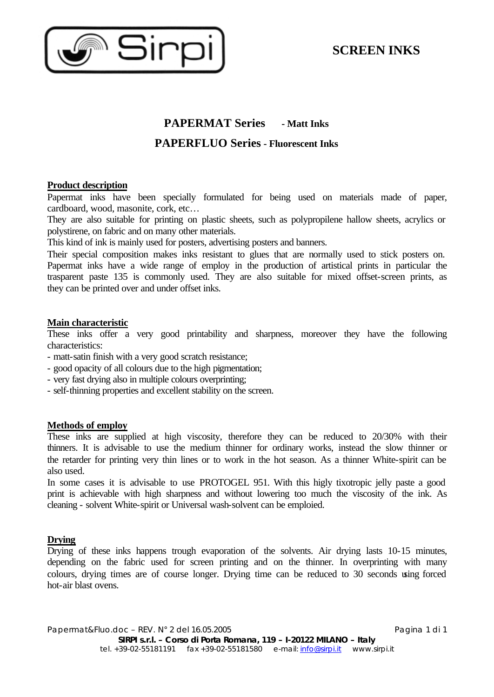

# **PAPERMAT Series - Matt Inks PAPERFLUO Series - Fluorescent Inks**

# **Product description**

Papermat inks have been specially formulated for being used on materials made of paper, cardboard, wood, masonite, cork, etc…

They are also suitable for printing on plastic sheets, such as polypropilene hallow sheets, acrylics or polystirene, on fabric and on many other materials.

This kind of ink is mainly used for posters, advertising posters and banners.

Their special composition makes inks resistant to glues that are normally used to stick posters on. Papermat inks have a wide range of employ in the production of artistical prints in particular the trasparent paste 135 is commonly used. They are also suitable for mixed offset-screen prints, as they can be printed over and under offset inks.

# **Main characteristic**

These inks offer a very good printability and sharpness, moreover they have the following characteristics:

- matt-satin finish with a very good scratch resistance;
- good opacity of all colours due to the high pigmentation;
- very fast drying also in multiple colours overprinting;
- self-thinning properties and excellent stability on the screen.

# **Methods of employ**

These inks are supplied at high viscosity, therefore they can be reduced to 20/30% with their thinners. It is advisable to use the medium thinner for ordinary works, instead the slow thinner or the retarder for printing very thin lines or to work in the hot season. As a thinner White-spirit can be also used.

In some cases it is advisable to use PROTOGEL 951. With this higly tixotropic jelly paste a good print is achievable with high sharpness and without lowering too much the viscosity of the ink. As cleaning - solvent White-spirit or Universal wash-solvent can be emploied.

# **Drying**

Drying of these inks happens trough evaporation of the solvents. Air drying lasts 10-15 minutes, depending on the fabric used for screen printing and on the thinner. In overprinting with many colours, drying times are of course longer. Drying time can be reduced to 30 seconds using forced hot-air blast ovens.